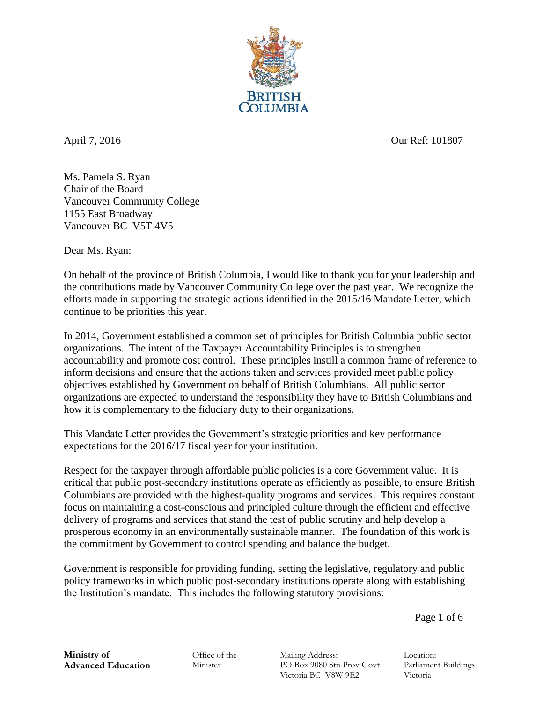

April 7, 2016 Our Ref: 101807

Ms. Pamela S. Ryan Chair of the Board Vancouver Community College 1155 East Broadway Vancouver BC V5T 4V5

Dear Ms. Ryan:

On behalf of the province of British Columbia, I would like to thank you for your leadership and the contributions made by Vancouver Community College over the past year. We recognize the efforts made in supporting the strategic actions identified in the 2015/16 Mandate Letter, which continue to be priorities this year.

In 2014, Government established a common set of principles for British Columbia public sector organizations. The intent of the Taxpayer Accountability Principles is to strengthen accountability and promote cost control. These principles instill a common frame of reference to inform decisions and ensure that the actions taken and services provided meet public policy objectives established by Government on behalf of British Columbians. All public sector organizations are expected to understand the responsibility they have to British Columbians and how it is complementary to the fiduciary duty to their organizations.

This Mandate Letter provides the Government's strategic priorities and key performance expectations for the 2016/17 fiscal year for your institution.

Respect for the taxpayer through affordable public policies is a core Government value. It is critical that public post-secondary institutions operate as efficiently as possible, to ensure British Columbians are provided with the highest-quality programs and services. This requires constant focus on maintaining a cost-conscious and principled culture through the efficient and effective delivery of programs and services that stand the test of public scrutiny and help develop a prosperous economy in an environmentally sustainable manner. The foundation of this work is the commitment by Government to control spending and balance the budget.

Government is responsible for providing funding, setting the legislative, regulatory and public policy frameworks in which public post-secondary institutions operate along with establishing the Institution's mandate. This includes the following statutory provisions:

Page 1 of 6

Office of the Minister

Mailing Address: PO Box 9080 Stn Prov Govt Victoria BC V8W 9E2

Location: Parliament Buildings Victoria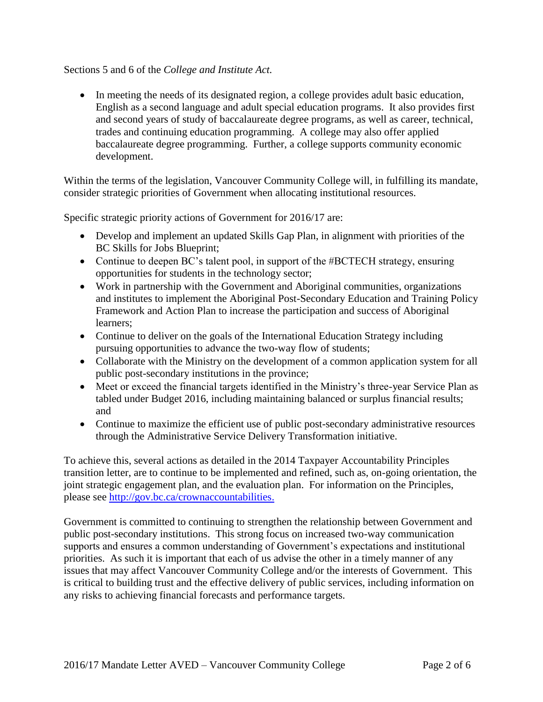## Sections 5 and 6 of the *College and Institute Act.*

• In meeting the needs of its designated region, a college provides adult basic education, English as a second language and adult special education programs. It also provides first and second years of study of baccalaureate degree programs, as well as career, technical, trades and continuing education programming. A college may also offer applied baccalaureate degree programming. Further, a college supports community economic development.

Within the terms of the legislation, Vancouver Community College will, in fulfilling its mandate, consider strategic priorities of Government when allocating institutional resources.

Specific strategic priority actions of Government for 2016/17 are:

- Develop and implement an updated Skills Gap Plan, in alignment with priorities of the BC Skills for Jobs Blueprint;
- Continue to deepen BC's talent pool, in support of the #BCTECH strategy, ensuring opportunities for students in the technology sector;
- Work in partnership with the Government and Aboriginal communities, organizations and institutes to implement the Aboriginal Post-Secondary Education and Training Policy Framework and Action Plan to increase the participation and success of Aboriginal learners;
- Continue to deliver on the goals of the International Education Strategy including pursuing opportunities to advance the two-way flow of students;
- Collaborate with the Ministry on the development of a common application system for all public post-secondary institutions in the province;
- Meet or exceed the financial targets identified in the Ministry's three-year Service Plan as tabled under Budget 2016, including maintaining balanced or surplus financial results; and
- Continue to maximize the efficient use of public post-secondary administrative resources through the Administrative Service Delivery Transformation initiative.

To achieve this, several actions as detailed in the 2014 Taxpayer Accountability Principles transition letter, are to continue to be implemented and refined, such as, on-going orientation, the joint strategic engagement plan, and the evaluation plan. For information on the Principles, please see http://gov.bc.ca/crownaccountabilities.

Government is committed to continuing to strengthen the relationship between Government and public post-secondary institutions. This strong focus on increased two-way communication supports and ensures a common understanding of Government's expectations and institutional priorities. As such it is important that each of us advise the other in a timely manner of any issues that may affect Vancouver Community College and/or the interests of Government. This is critical to building trust and the effective delivery of public services, including information on any risks to achieving financial forecasts and performance targets.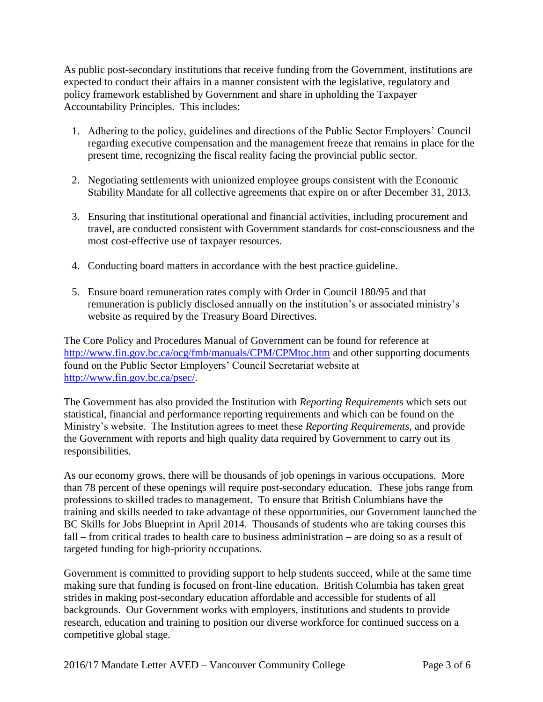As public post-secondary institutions that receive funding from the Government, institutions are expected to conduct their affairs in a manner consistent with the legislative, regulatory and policy framework established by Government and share in upholding the Taxpayer Accountability Principles. This includes:

- 1. Adhering to the policy, guidelines and directions of the Public Sector Employers' Council regarding executive compensation and the management freeze that remains in place for the present time, recognizing the fiscal reality facing the provincial public sector.
- 2. Negotiating settlements with unionized employee groups consistent with the Economic Stability Mandate for all collective agreements that expire on or after December 31, 2013.
- 3. Ensuring that institutional operational and financial activities, including procurement and travel, are conducted consistent with Government standards for cost-consciousness and the most cost-effective use of taxpayer resources.
- 4. Conducting board matters in accordance with the best practice guideline.
- 5. Ensure board remuneration rates comply with Order in Council 180/95 and that remuneration is publicly disclosed annually on the institution's or associated ministry's website as required by the Treasury Board Directives.

The Core Policy and Procedures Manual of Government can be found for reference at http://www.fin.gov.bc.ca/ocg/fmb/manuals/CPM/CPMtoc.htm and other supporting documents found on the Public Sector Employers' Council Secretariat website at http://www.fin.gov.bc.ca/psec/.

The Government has also provided the Institution with *Reporting Requirement*s which sets out statistical, financial and performance reporting requirements and which can be found on the Ministry's website. The Institution agrees to meet these *Reporting Requirements*, and provide the Government with reports and high quality data required by Government to carry out its responsibilities.

As our economy grows, there will be thousands of job openings in various occupations. More than 78 percent of these openings will require post-secondary education. These jobs range from professions to skilled trades to management. To ensure that British Columbians have the training and skills needed to take advantage of these opportunities, our Government launched the BC Skills for Jobs Blueprint in April 2014. Thousands of students who are taking courses this fall – from critical trades to health care to business administration – are doing so as a result of targeted funding for high-priority occupations.

Government is committed to providing support to help students succeed, while at the same time making sure that funding is focused on front-line education. British Columbia has taken great strides in making post-secondary education affordable and accessible for students of all backgrounds. Our Government works with employers, institutions and students to provide research, education and training to position our diverse workforce for continued success on a competitive global stage.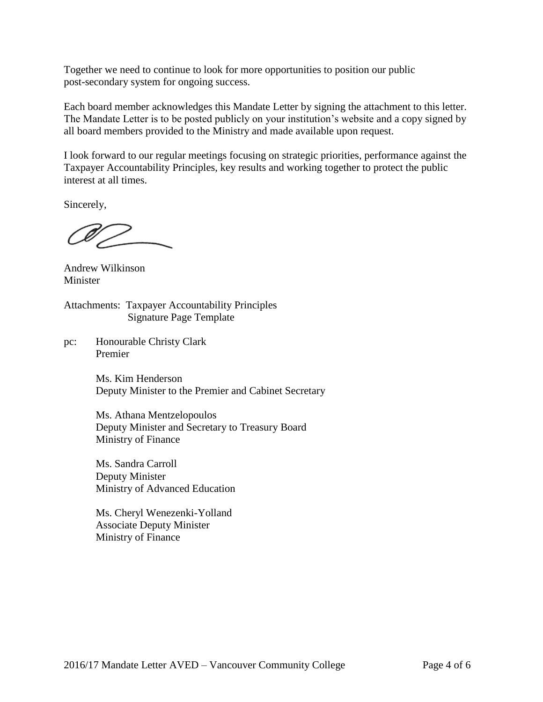Together we need to continue to look for more opportunities to position our public post-secondary system for ongoing success.

Each board member acknowledges this Mandate Letter by signing the attachment to this letter. The Mandate Letter is to be posted publicly on your institution's website and a copy signed by all board members provided to the Ministry and made available upon request.

I look forward to our regular meetings focusing on strategic priorities, performance against the Taxpayer Accountability Principles, key results and working together to protect the public interest at all times.

Sincerely,

Andrew Wilkinson Minister

Attachments: Taxpayer Accountability Principles Signature Page Template

pc: Honourable Christy Clark Premier

> Ms. Kim Henderson Deputy Minister to the Premier and Cabinet Secretary

Ms. Athana Mentzelopoulos Deputy Minister and Secretary to Treasury Board Ministry of Finance

Ms. Sandra Carroll Deputy Minister Ministry of Advanced Education

Ms. Cheryl Wenezenki-Yolland Associate Deputy Minister Ministry of Finance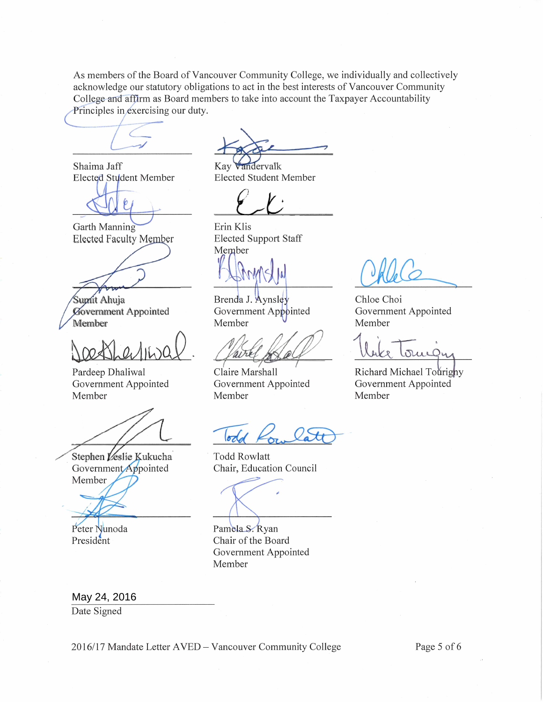As members of the Board of Vancouver Community College, we individually and collectively acknowledge our statutory obligations to act in the best interests of Vancouver Community College and affirm as Board members to take into account the Taxpayer Accountability Principles in exercising our duty.

Shaima Jaff Elected Student Member

Garth Manning **Elected Faculty Member** 

Suprit Ahuja Government Appointed Member

Pardeep Dhaliwal Government Appointed Member

Stephen Veslie Kukucha Government Appointed Member

Peter Nunoda

President

Kay vandervalk

**Elected Student Member** 

 $\overline{\phantom{a}}$ 

Erin Klis **Elected Support Staff** Member

Brenda J. Avnsley Government Appointed Member

Chloe Choi

Member

Member

Government Appointed

Richard Michael Tourighy

Government Appointed

Claire Marshall Government Appointed Member

 $\sigma$ dd

**Todd Rowlatt** Chair, Education Council

Pamela S. Ryan Chair of the Board Government Appointed Member

May 24, 2016

Date Signed

2016/17 Mandate Letter AVED - Vancouver Community College